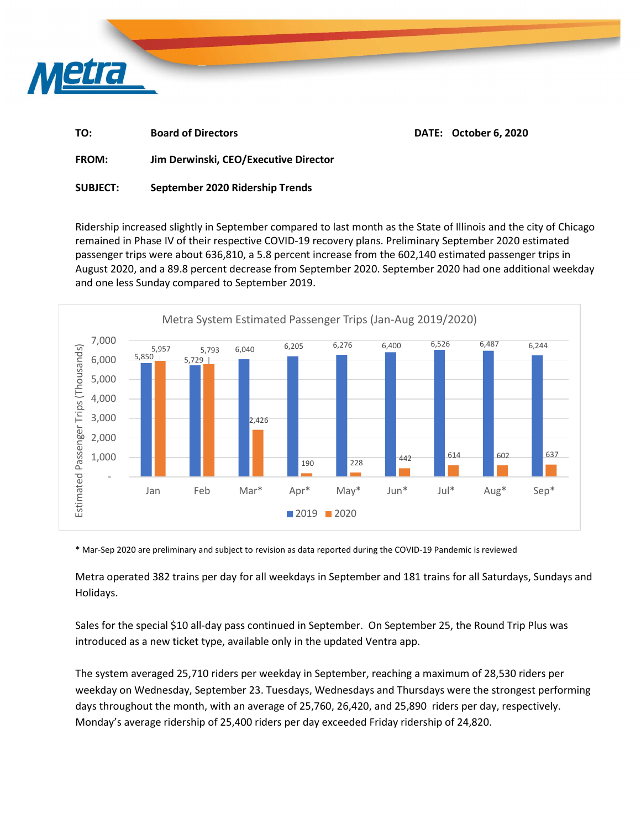

| TO:   | <b>Board of Directors</b>      | DATE: October 6, 2020 |
|-------|--------------------------------|-----------------------|
| ----- | _ _ _ _ _ _ _ _ _<br>- -<br>-- |                       |

FROM: Jim Derwinski, CEO/Executive Director

## SUBJECT: September 2020 Ridership Trends

Ridership increased slightly in September compared to last month as the State of Illinois and the city of Chicago remained in Phase IV of their respective COVID-19 recovery plans. Preliminary September 2020 estimated passenger trips were about 636,810, a 5.8 percent increase from the 602,140 estimated passenger trips in August 2020, and a 89.8 percent decrease from September 2020. September 2020 had one additional weekday and one less Sunday compared to September 2019.



\* Mar-Sep 2020 are preliminary and subject to revision as data reported during the COVID-19 Pandemic is reviewed

Metra operated 382 trains per day for all weekdays in September and 181 trains for all Saturdays, Sundays and Holidays.

Sales for the special \$10 all-day pass continued in September. On September 25, the Round Trip Plus was introduced as a new ticket type, available only in the updated Ventra app.

The system averaged 25,710 riders per weekday in September, reaching a maximum of 28,530 riders per weekday on Wednesday, September 23. Tuesdays, Wednesdays and Thursdays were the strongest performing days throughout the month, with an average of 25,760, 26,420, and 25,890 riders per day, respectively. Monday's average ridership of 25,400 riders per day exceeded Friday ridership of 24,820.